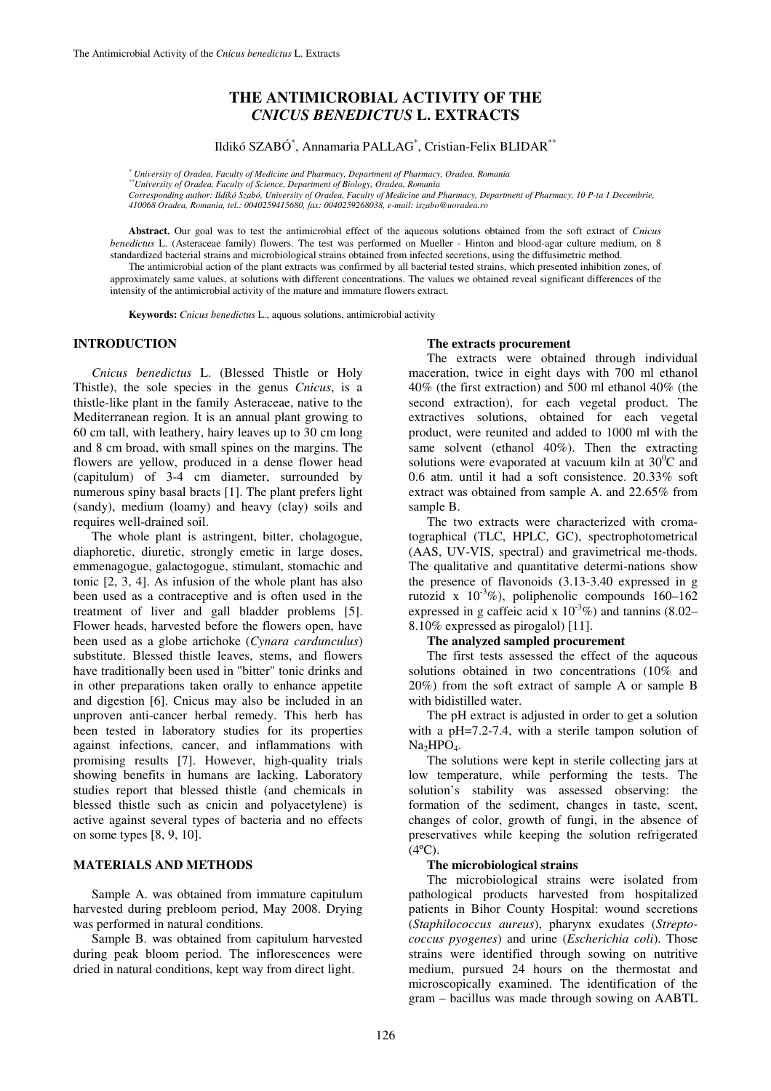# **THE ANTIMICROBIAL ACTIVITY OF THE**  *CNICUS BENEDICTUS* **L. EXTRACTS**

## Ildikó SZABÓ\* , Annamaria PALLAG\* , Cristian-Felix BLIDAR\*\*

*\* University of Oradea, Faculty of Medicine and Pharmacy, Department of Pharmacy, Oradea, Romania* 

*\*\*University of Oradea, Faculty of Science, Department of Biology, Oradea, Romania* 

*Corresponding author: Ildikó Szabó, University of Oradea, Faculty of Medicine and Pharmacy, Department of Pharmacy, 10 P-ta 1 Decembrie, 410068 Oradea, Romania, tel.: 0040259415680, fax: 0040259268038, e-mail: iszabo@uoradea.ro* 

**Abstract.** Our goal was to test the antimicrobial effect of the aqueous solutions obtained from the soft extract of *Cnicus benedictus* L. (Asteraceae family) flowers. The test was performed on Mueller - Hinton and blood-agar culture medium, on 8 standardized bacterial strains and microbiological strains obtained from infected secretions, using the diffusimetric method.

The antimicrobial action of the plant extracts was confirmed by all bacterial tested strains, which presented inhibition zones, of approximately same values, at solutions with different concentrations. The values we obtained reveal significant differences of the intensity of the antimicrobial activity of the mature and immature flowers extract.

**Keywords:** *Cnicus benedictus* L., aquous solutions, antimicrobial activity

### **INTRODUCTION**

*Cnicus benedictus* L. (Blessed Thistle or Holy Thistle), the sole species in the genus *Cnicus*, is a thistle-like plant in the family Asteraceae, native to the Mediterranean region. It is an annual plant growing to 60 cm tall, with leathery, hairy leaves up to 30 cm long and 8 cm broad, with small spines on the margins. The flowers are yellow, produced in a dense flower head (capitulum) of 3-4 cm diameter, surrounded by numerous spiny basal bracts [1]. The plant prefers light (sandy), medium (loamy) and heavy (clay) soils and requires well-drained soil.

The whole plant is astringent, bitter, cholagogue, diaphoretic, diuretic, strongly emetic in large doses, emmenagogue, galactogogue, stimulant, stomachic and tonic [2, 3, 4]. As infusion of the whole plant has also been used as a contraceptive and is often used in the treatment of liver and gall bladder problems [5]. Flower heads, harvested before the flowers open, have been used as a globe artichoke (*Cynara cardunculus*) substitute. Blessed thistle leaves, stems, and flowers have traditionally been used in "bitter" tonic drinks and in other preparations taken orally to enhance appetite and digestion [6]. Cnicus may also be included in an unproven anti-cancer herbal remedy. This herb has been tested in laboratory studies for its properties against infections, cancer, and inflammations with promising results [7]. However, high-quality trials showing benefits in humans are lacking. Laboratory studies report that blessed thistle (and chemicals in blessed thistle such as cnicin and polyacetylene) is active against several types of bacteria and no effects on some types [8, 9, 10].

#### **MATERIALS AND METHODS**

Sample A. was obtained from immature capitulum harvested during prebloom period, May 2008. Drying was performed in natural conditions.

Sample B. was obtained from capitulum harvested during peak bloom period. The inflorescences were dried in natural conditions, kept way from direct light.

#### **The extracts procurement**

The extracts were obtained through individual maceration, twice in eight days with 700 ml ethanol 40% (the first extraction) and 500 ml ethanol 40% (the second extraction), for each vegetal product. The extractives solutions, obtained for each vegetal product, were reunited and added to 1000 ml with the same solvent (ethanol 40%). Then the extracting solutions were evaporated at vacuum kiln at  $30^0C$  and 0.6 atm. until it had a soft consistence. 20.33% soft extract was obtained from sample A. and 22.65% from sample B.

The two extracts were characterized with cromatographical (TLC, HPLC, GC), spectrophotometrical (AAS, UV-VIS, spectral) and gravimetrical me-thods. The qualitative and quantitative determi-nations show the presence of flavonoids (3.13-3.40 expressed in g rutozid x  $10^{-3}$ %), poliphenolic compounds 160–162 expressed in g caffeic acid x  $10^{-3}\%$ ) and tannins (8.02– 8.10% expressed as pirogalol) [11].

#### **The analyzed sampled procurement**

The first tests assessed the effect of the aqueous solutions obtained in two concentrations (10% and 20%) from the soft extract of sample A or sample B with bidistilled water.

The pH extract is adjusted in order to get a solution with a pH=7.2-7.4, with a sterile tampon solution of  $Na<sub>2</sub>HPO<sub>4</sub>$ .

The solutions were kept in sterile collecting jars at low temperature, while performing the tests. The solution's stability was assessed observing: the formation of the sediment, changes in taste, scent, changes of color, growth of fungi, in the absence of preservatives while keeping the solution refrigerated  $(4^{\circ}C).$ 

#### **The microbiological strains**

The microbiological strains were isolated from pathological products harvested from hospitalized patients in Bihor County Hospital: wound secretions (*Staphilococcus aureus*), pharynx exudates (*Streptococcus pyogenes*) and urine (*Escherichia coli*). Those strains were identified through sowing on nutritive medium, pursued 24 hours on the thermostat and microscopically examined. The identification of the gram – bacillus was made through sowing on AABTL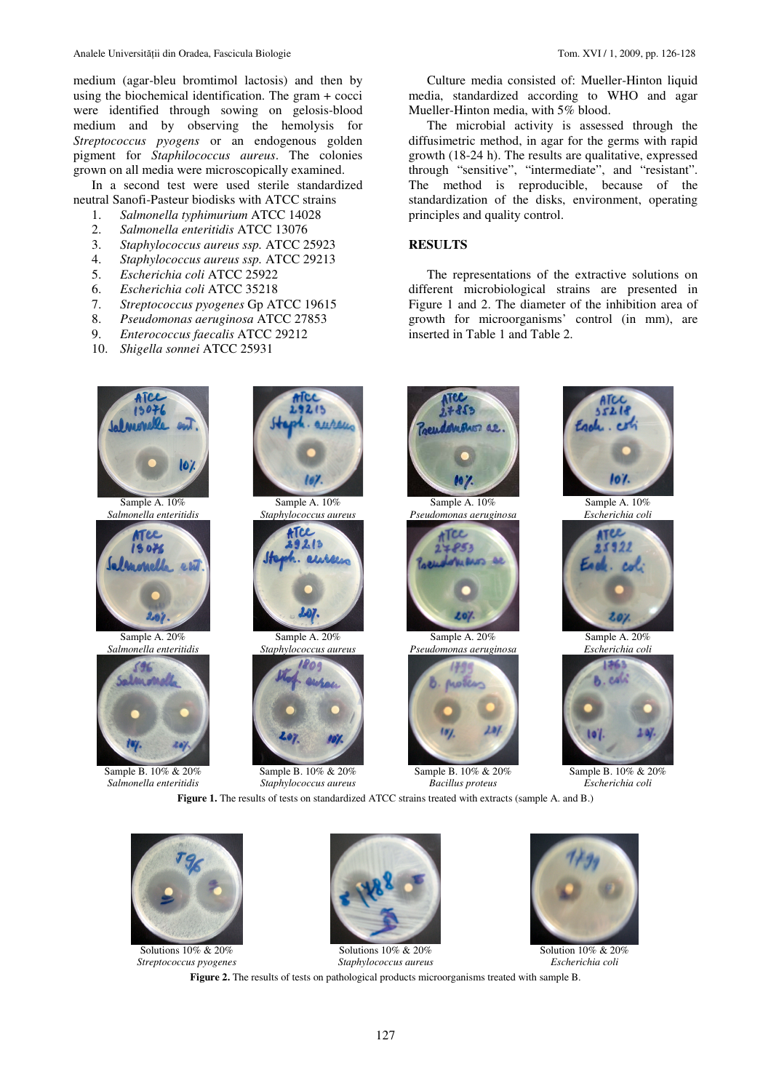medium (agar-bleu bromtimol lactosis) and then by using the biochemical identification. The gram + cocci were identified through sowing on gelosis-blood medium and by observing the hemolysis for *Streptococcus pyogens* or an endogenous golden pigment for *Staphilococcus aureus*. The colonies grown on all media were microscopically examined.

In a second test were used sterile standardized neutral Sanofi-Pasteur biodisks with ATCC strains

- 1. *Salmonella typhimurium* ATCC 14028
- 2. *Salmonella enteritidis* ATCC 13076
- 3. *Staphylococcus aureus ssp.* ATCC 25923
- 4. *Staphylococcus aureus ssp.* ATCC 29213
- 5. *Escherichia coli* ATCC 25922
- 6. *Escherichia coli* ATCC 35218
- 7. *Streptococcus pyogenes* Gp ATCC 19615
- 8. *Pseudomonas aeruginosa* ATCC 27853
- 9. *Enterococcus faecalis* ATCC 29212
- 10. *Shigella sonnei* ATCC 25931

Culture media consisted of: Mueller-Hinton liquid media, standardized according to WHO and agar Mueller-Hinton media, with 5% blood.

The microbial activity is assessed through the diffusimetric method, in agar for the germs with rapid growth (18-24 h). The results are qualitative, expressed through "sensitive", "intermediate", and "resistant". The method is reproducible, because of the standardization of the disks, environment, operating principles and quality control.

### **RESULTS**

The representations of the extractive solutions on different microbiological strains are presented in Figure 1 and 2. The diameter of the inhibition area of growth for microorganisms' control (in mm), are inserted in Table 1 and Table 2.





Solutions 10% & 20% *Streptococcus pyogenes* 



Solutions 10% & 20% *Staphylococcus aureus* 



Solution 10% & 20% *Escherichia coli* 

**Figure 2.** The results of tests on pathological products microorganisms treated with sample B.